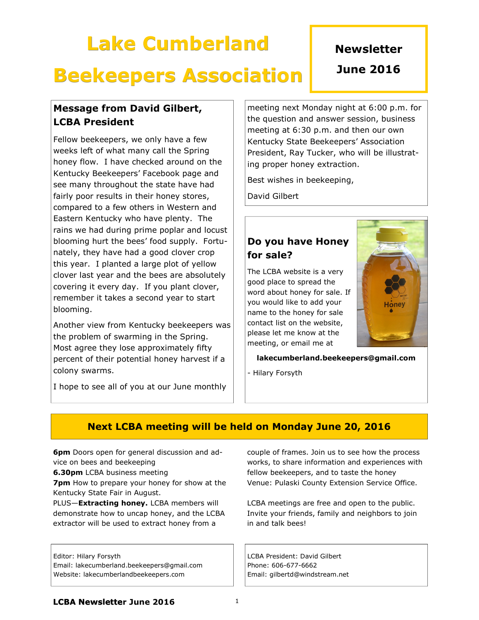# Lake Cumberland

### **Newsletter**

## Beekeepers Association

### June 2016

### Message from David Gilbert, LCBA President

Fellow beekeepers, we only have a few weeks left of what many call the Spring honey flow. I have checked around on the Kentucky Beekeepers' Facebook page and see many throughout the state have had fairly poor results in their honey stores, compared to a few others in Western and Eastern Kentucky who have plenty. The rains we had during prime poplar and locust blooming hurt the bees' food supply. Fortunately, they have had a good clover crop this year. I planted a large plot of yellow clover last year and the bees are absolutely covering it every day. If you plant clover, remember it takes a second year to start blooming.

Another view from Kentucky beekeepers was the problem of swarming in the Spring. Most agree they lose approximately fifty percent of their potential honey harvest if a colony swarms.

I hope to see all of you at our June monthly

meeting next Monday night at 6:00 p.m. for the question and answer session, business meeting at 6:30 p.m. and then our own Kentucky State Beekeepers' Association President, Ray Tucker, who will be illustrating proper honey extraction.

Best wishes in beekeeping,

David Gilbert

### Do you have Honey for sale?

The LCBA website is a very good place to spread the word about honey for sale. If you would like to add your name to the honey for sale contact list on the website, please let me know at the meeting, or email me at



lakecumberland.beekeepers@gmail.com

- Hilary Forsyth

### Next LCBA meeting will be held on Monday June 20, 2016

6pm Doors open for general discussion and advice on bees and beekeeping

**6.30pm** LCBA business meeting

**7pm** How to prepare your honey for show at the Kentucky State Fair in August.

PLUS-Extracting honey. LCBA members will demonstrate how to uncap honey, and the LCBA extractor will be used to extract honey from a

Editor: Hilary Forsyth

Email: lakecumberland.beekeepers@gmail.com Website: lakecumberlandbeekeepers.com

couple of frames. Join us to see how the process works, to share information and experiences with fellow beekeepers, and to taste the honey Venue: Pulaski County Extension Service Office.

LCBA meetings are free and open to the public. Invite your friends, family and neighbors to join in and talk bees!

LCBA President: David Gilbert Phone: 606-677-6662 Email: gilbertd@windstream.net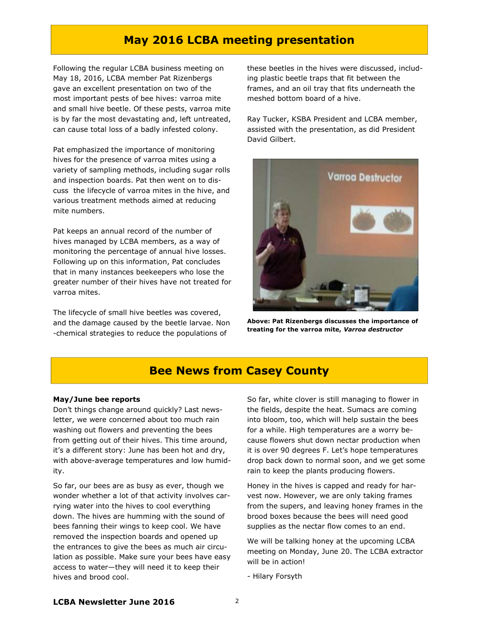### May 2016 LCBA meeting presentation

Following the regular LCBA business meeting on May 18, 2016, LCBA member Pat Rizenbergs gave an excellent presentation on two of the most important pests of bee hives: varroa mite and small hive beetle. Of these pests, varroa mite is by far the most devastating and, left untreated, can cause total loss of a badly infested colony.

Pat emphasized the importance of monitoring hives for the presence of varroa mites using a variety of sampling methods, including sugar rolls and inspection boards. Pat then went on to discuss the lifecycle of varroa mites in the hive, and various treatment methods aimed at reducing mite numbers.

Pat keeps an annual record of the number of hives managed by LCBA members, as a way of monitoring the percentage of annual hive losses. Following up on this information, Pat concludes that in many instances beekeepers who lose the greater number of their hives have not treated for varroa mites.

The lifecycle of small hive beetles was covered, and the damage caused by the beetle larvae. Non -chemical strategies to reduce the populations of

these beetles in the hives were discussed, including plastic beetle traps that fit between the frames, and an oil tray that fits underneath the meshed bottom board of a hive.

Ray Tucker, KSBA President and LCBA member, assisted with the presentation, as did President David Gilbert.



Above: Pat Rizenbergs discusses the importance of treating for the varroa mite, Varroa destructor

### Bee News from Casey County

#### May/June bee reports

Don't things change around quickly? Last newsletter, we were concerned about too much rain washing out flowers and preventing the bees from getting out of their hives. This time around, it's a different story: June has been hot and dry, with above-average temperatures and low humidity.

So far, our bees are as busy as ever, though we wonder whether a lot of that activity involves carrying water into the hives to cool everything down. The hives are humming with the sound of bees fanning their wings to keep cool. We have removed the inspection boards and opened up the entrances to give the bees as much air circulation as possible. Make sure your bees have easy access to water—they will need it to keep their hives and brood cool.

So far, white clover is still managing to flower in the fields, despite the heat. Sumacs are coming into bloom, too, which will help sustain the bees for a while. High temperatures are a worry because flowers shut down nectar production when it is over 90 degrees F. Let's hope temperatures drop back down to normal soon, and we get some rain to keep the plants producing flowers.

Honey in the hives is capped and ready for harvest now. However, we are only taking frames from the supers, and leaving honey frames in the brood boxes because the bees will need good supplies as the nectar flow comes to an end.

We will be talking honey at the upcoming LCBA meeting on Monday, June 20. The LCBA extractor will be in action!

- Hilary Forsyth

#### LCBA Newsletter June 2016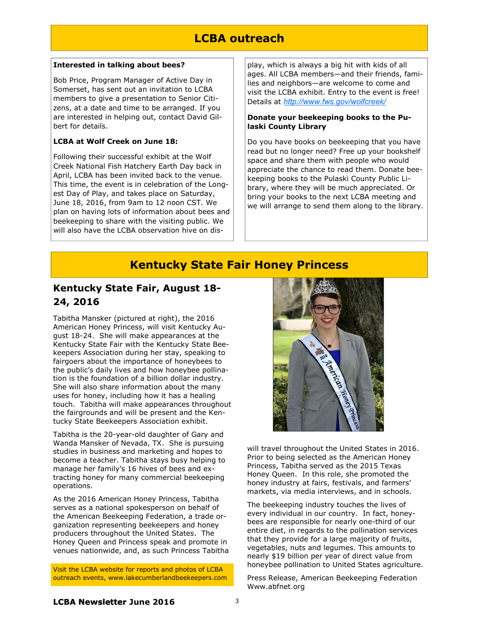### LCBA outreach

#### Interested in talking about bees?

Bob Price, Program Manager of Active Day in Somerset, has sent out an invitation to LCBA members to give a presentation to Senior Citizens, at a date and time to be arranged. If you are interested in helping out, contact David Gilbert for details.

#### LCBA at Wolf Creek on June 18:

Following their successful exhibit at the Wolf Creek National Fish Hatchery Earth Day back in April, LCBA has been invited back to the venue. This time, the event is in celebration of the Longest Day of Play, and takes place on Saturday, June 18, 2016, from 9am to 12 noon CST. We plan on having lots of information about bees and beekeeping to share with the visiting public. We will also have the LCBA observation hive on display, which is always a big hit with kids of all ages. All LCBA members—and their friends, families and neighbors—are welcome to come and visit the LCBA exhibit. Entry to the event is free! Details at http://www.fws.gov/wolfcreek/

#### Donate your beekeeping books to the Pulaski County Library

Do you have books on beekeeping that you have read but no longer need? Free up your bookshelf space and share them with people who would appreciate the chance to read them. Donate beekeeping books to the Pulaski County Public Library, where they will be much appreciated. Or bring your books to the next LCBA meeting and we will arrange to send them along to the library.

### Kentucky State Fair Honey Princess

### Kentucky State Fair, August 18- 24, 2016

Tabitha Mansker (pictured at right), the 2016 American Honey Princess, will visit Kentucky August 18-24. She will make appearances at the Kentucky State Fair with the Kentucky State Beekeepers Association during her stay, speaking to fairgoers about the importance of honeybees to the public's daily lives and how honeybee pollination is the foundation of a billion dollar industry. She will also share information about the many uses for honey, including how it has a healing touch. Tabitha will make appearances throughout the fairgrounds and will be present and the Kentucky State Beekeepers Association exhibit.

Tabitha is the 20-year-old daughter of Gary and Wanda Mansker of Nevada, TX. She is pursuing studies in business and marketing and hopes to become a teacher. Tabitha stays busy helping to manage her family's 16 hives of bees and extracting honey for many commercial beekeeping operations.

As the 2016 American Honey Princess, Tabitha serves as a national spokesperson on behalf of the American Beekeeping Federation, a trade organization representing beekeepers and honey producers throughout the United States. The Honey Queen and Princess speak and promote in venues nationwide, and, as such Princess Tabitha

Visit the LCBA website for reports and photos of LCBA outreach events, www.lakecumberlandbeekeepers.com



will travel throughout the United States in 2016. Prior to being selected as the American Honey Princess, Tabitha served as the 2015 Texas Honey Queen. In this role, she promoted the honey industry at fairs, festivals, and farmers' markets, via media interviews, and in schools.

The beekeeping industry touches the lives of every individual in our country. In fact, honeybees are responsible for nearly one-third of our entire diet, in regards to the pollination services that they provide for a large majority of fruits, vegetables, nuts and legumes. This amounts to nearly \$19 billion per year of direct value from honeybee pollination to United States agriculture.

Press Release, American Beekeeping Federation Www.abfnet.org